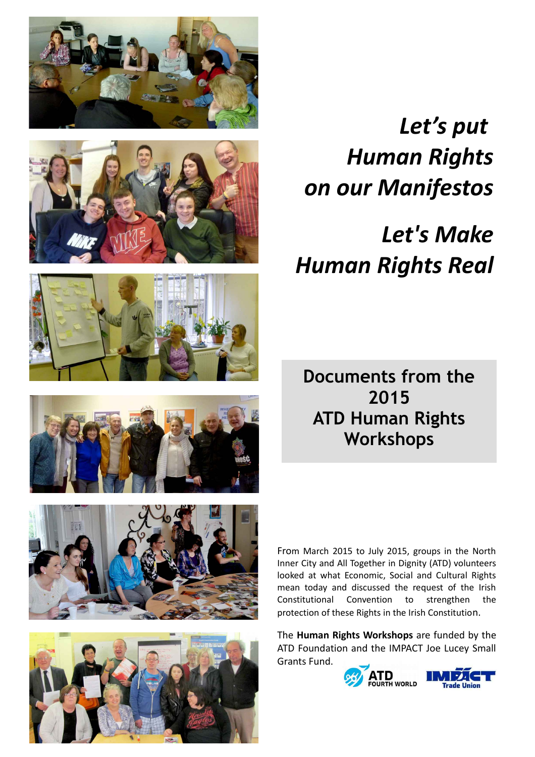





## *Let's put Human Rights on our Manifestos*

# *Let's Make Human Rights Real*

**Documents from the 2015 ATD Human Rights Workshops**





From March 2015 to July 2015, groups in the North Inner City and All Together in Dignity (ATD) volunteers looked at what Economic, Social and Cultural Rights mean today and discussed the request of the Irish Constitutional Convention to strengthen the protection of these Rights in the Irish Constitution.

The **Human Rights Workshops** are funded by the ATD Foundation and the IMPACT Joe Lucey Small Grants Fund.

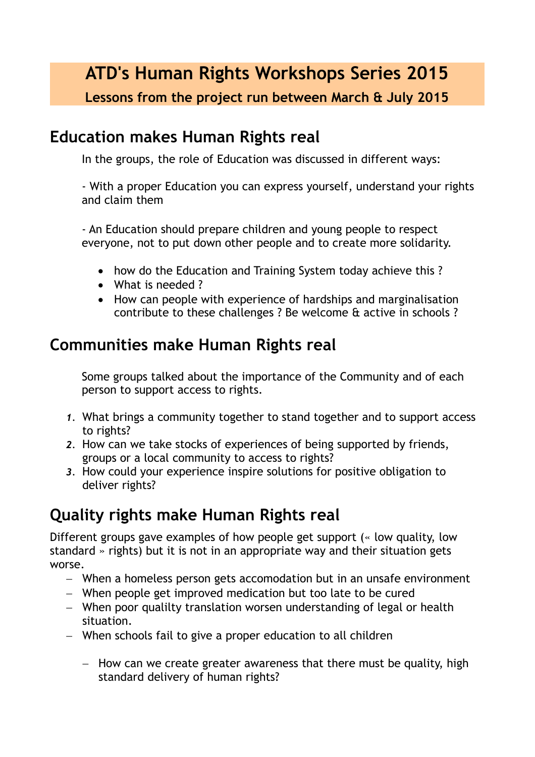**ATD's Human Rights Workshops Series 2015**

**Lessons from the project run between March & July 2015**

### **Education makes Human Rights real**

In the groups, the role of Education was discussed in different ways:

- With a proper Education you can express yourself, understand your rights and claim them

- An Education should prepare children and young people to respect everyone, not to put down other people and to create more solidarity.

- how do the Education and Training System today achieve this?
- What is needed?
- How can people with experience of hardships and marginalisation contribute to these challenges ? Be welcome & active in schools ?

### **Communities make Human Rights real**

Some groups talked about the importance of the Community and of each person to support access to rights.

- *1.* What brings a community together to stand together and to support access to rights?
- *2.* How can we take stocks of experiences of being supported by friends, groups or a local community to access to rights?
- *3.* How could your experience inspire solutions for positive obligation to deliver rights?

### **Quality rights make Human Rights real**

Different groups gave examples of how people get support (« low quality, low standard » rights) but it is not in an appropriate way and their situation gets worse.

- When a homeless person gets accomodation but in an unsafe environment
- When people get improved medication but too late to be cured
- When poor qualilty translation worsen understanding of legal or health situation.
- When schools fail to give a proper education to all children
	- $-$  How can we create greater awareness that there must be quality, high standard delivery of human rights?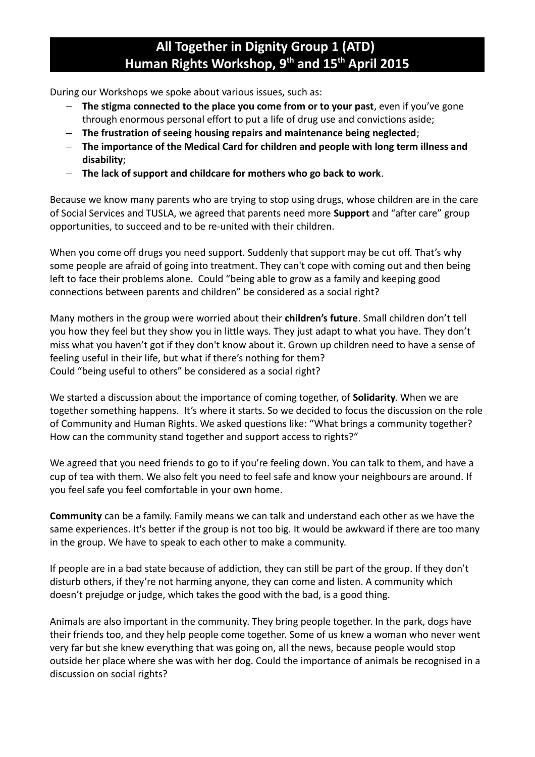### **All Together in Dignity Group 1 (ATD) Human Rights Workshop, 9th and 15th April 2015**

During our Workshops we spoke about various issues, such as:

- **The stigma connected to the place you come from or to your past**, even if you've gone through enormous personal effort to put a life of drug use and convictions aside;
- **The frustration of seeing housing repairs and maintenance being neglected**;
- **The importance of the Medical Card for children and people with long term illness and disability**;
- **The lack of support and childcare for mothers who go back to work**.

Because we know many parents who are trying to stop using drugs, whose children are in the care of Social Services and TUSLA, we agreed that parents need more **Support** and "after care" group opportunities, to succeed and to be re-united with their children.

When you come off drugs you need support. Suddenly that support may be cut off. That's why some people are afraid of going into treatment. They can't cope with coming out and then being left to face their problems alone. Could "being able to grow as a family and keeping good connections between parents and children" be considered as a social right?

Many mothers in the group were worried about their **children's future**. Small children don't tell you how they feel but they show you in little ways. They just adapt to what you have. They don't miss what you haven't got if they don't know about it. Grown up children need to have a sense of feeling useful in their life, but what if there's nothing for them? Could "being useful to others" be considered as a social right?

We started a discussion about the importance of coming together, of **Solidarity**. When we are together something happens. It's where it starts. So we decided to focus the discussion on the role of Community and Human Rights. We asked questions like: "What brings a community together? How can the community stand together and support access to rights?"

We agreed that you need friends to go to if you're feeling down. You can talk to them, and have a cup of tea with them. We also felt you need to feel safe and know your neighbours are around. If you feel safe you feel comfortable in your own home.

**Community** can be a family. Family means we can talk and understand each other as we have the same experiences. It's better if the group is not too big. It would be awkward if there are too many in the group. We have to speak to each other to make a community.

If people are in a bad state because of addiction, they can still be part of the group. If they don't disturb others, if they're not harming anyone, they can come and listen. A community which doesn't prejudge or judge, which takes the good with the bad, is a good thing.

Animals are also important in the community. They bring people together. In the park, dogs have their friends too, and they help people come together. Some of us knew a woman who never went very far but she knew everything that was going on, all the news, because people would stop outside her place where she was with her dog. Could the importance of animals be recognised in a discussion on social rights?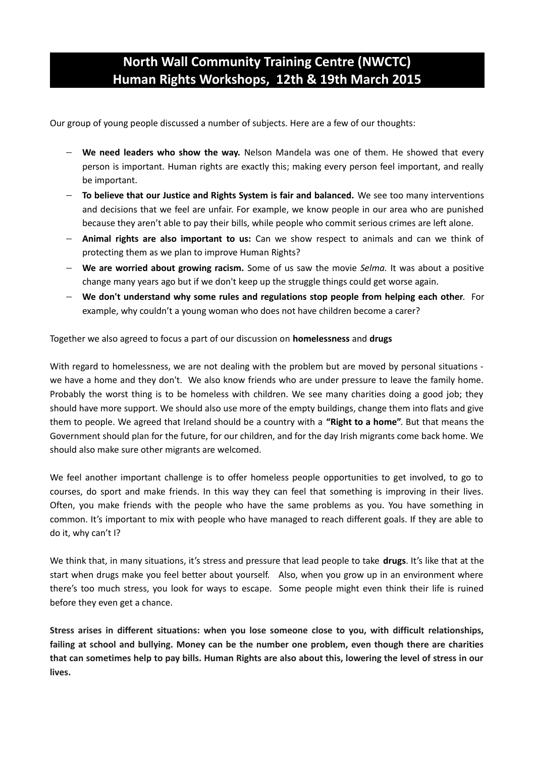### **North Wall Community Training Centre (NWCTC) Human Rights Workshops, 12th & 19th March 2015**

Our group of young people discussed a number of subjects. Here are a few of our thoughts:

- **We need leaders who show the way.** Nelson Mandela was one of them. He showed that every person is important. Human rights are exactly this; making every person feel important, and really be important.
- **To believe that our Justice and Rights System is fair and balanced.** We see too many interventions and decisions that we feel are unfair. For example, we know people in our area who are punished because they aren't able to pay their bills, while people who commit serious crimes are left alone.
- **Animal rights are also important to us:** Can we show respect to animals and can we think of protecting them as we plan to improve Human Rights?
- **We are worried about growing racism.** Some of us saw the movie *Selma.* It was about a positive change many years ago but if we don't keep up the struggle things could get worse again.
- **We don't understand why some rules and regulations stop people from helping each other**. For example, why couldn't a young woman who does not have children become a carer?

Together we also agreed to focus a part of our discussion on **homelessness** and **drugs**

With regard to homelessness, we are not dealing with the problem but are moved by personal situations we have a home and they don't. We also know friends who are under pressure to leave the family home. Probably the worst thing is to be homeless with children. We see many charities doing a good job; they should have more support. We should also use more of the empty buildings, change them into flats and give them to people. We agreed that Ireland should be a country with a **"Right to a home"**. But that means the Government should plan for the future, for our children, and for the day Irish migrants come back home. We should also make sure other migrants are welcomed.

We feel another important challenge is to offer homeless people opportunities to get involved, to go to courses, do sport and make friends. In this way they can feel that something is improving in their lives. Often, you make friends with the people who have the same problems as you. You have something in common. It's important to mix with people who have managed to reach different goals. If they are able to do it, why can't I?

We think that, in many situations, it's stress and pressure that lead people to take **drugs**. It's like that at the start when drugs make you feel better about yourself. Also, when you grow up in an environment where there's too much stress, you look for ways to escape. Some people might even think their life is ruined before they even get a chance.

**Stress arises in different situations: when you lose someone close to you, with difficult relationships, failing at school and bullying. Money can be the number one problem, even though there are charities that can sometimes help to pay bills. Human Rights are also about this, lowering the level of stress in our lives.**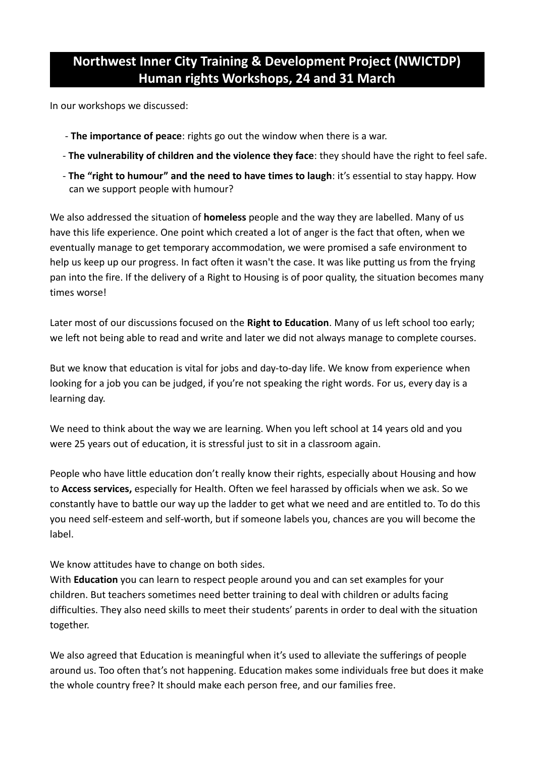### **Northwest Inner City Training & Development Project (NWICTDP) Human rights Workshops, 24 and 31 March**

In our workshops we discussed:

- **The importance of peace**: rights go out the window when there is a war.
- **The vulnerability of children and the violence they face**: they should have the right to feel safe.
- **The "right to humour" and the need to have times to laugh**: it's essential to stay happy. How can we support people with humour?

We also addressed the situation of **homeless** people and the way they are labelled. Many of us have this life experience. One point which created a lot of anger is the fact that often, when we eventually manage to get temporary accommodation, we were promised a safe environment to help us keep up our progress. In fact often it wasn't the case. It was like putting us from the frying pan into the fire. If the delivery of a Right to Housing is of poor quality, the situation becomes many times worse!

Later most of our discussions focused on the **Right to Education**. Many of us left school too early; we left not being able to read and write and later we did not always manage to complete courses.

But we know that education is vital for jobs and day-to-day life. We know from experience when looking for a job you can be judged, if you're not speaking the right words. For us, every day is a learning day.

We need to think about the way we are learning. When you left school at 14 years old and you were 25 years out of education, it is stressful just to sit in a classroom again.

People who have little education don't really know their rights, especially about Housing and how to **Access services,** especially for Health. Often we feel harassed by officials when we ask. So we constantly have to battle our way up the ladder to get what we need and are entitled to. To do this you need self-esteem and self-worth, but if someone labels you, chances are you will become the label.

We know attitudes have to change on both sides.

With **Education** you can learn to respect people around you and can set examples for your children. But teachers sometimes need better training to deal with children or adults facing difficulties. They also need skills to meet their students' parents in order to deal with the situation together.

We also agreed that Education is meaningful when it's used to alleviate the sufferings of people around us. Too often that's not happening. Education makes some individuals free but does it make the whole country free? It should make each person free, and our families free.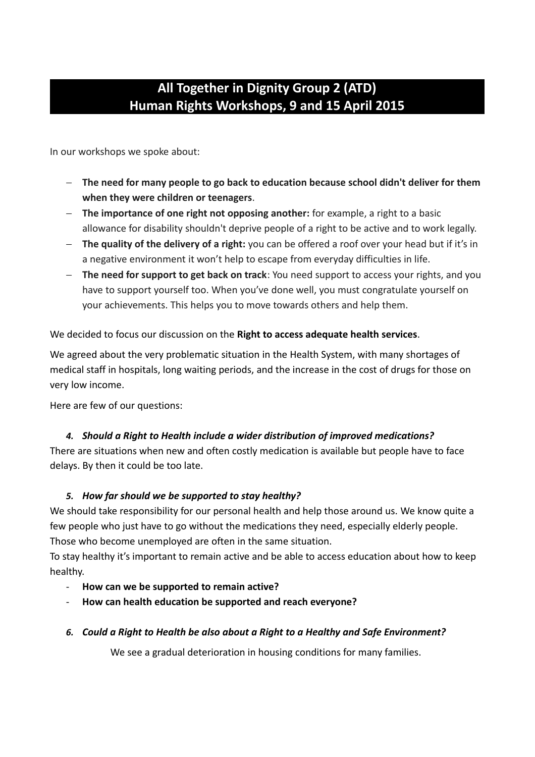### **All Together in Dignity Group 2 (ATD) Human Rights Workshops, 9 and 15 April 2015**

In our workshops we spoke about:

- **The need for many people to go back to education because school didn't deliver for them when they were children or teenagers**.
- **The importance of one right not opposing another:** for example, a right to a basic allowance for disability shouldn't deprive people of a right to be active and to work legally.
- **The quality of the delivery of a right:** you can be offered a roof over your head but if it's in a negative environment it won't help to escape from everyday difficulties in life.
- **The need for support to get back on track**: You need support to access your rights, and you have to support yourself too. When you've done well, you must congratulate yourself on your achievements. This helps you to move towards others and help them.

### We decided to focus our discussion on the **Right to access adequate health services**.

We agreed about the very problematic situation in the Health System, with many shortages of medical staff in hospitals, long waiting periods, and the increase in the cost of drugs for those on very low income.

Here are few of our questions:

### *4. Should a Right to Health include a wider distribution of improved medications?*

There are situations when new and often costly medication is available but people have to face delays. By then it could be too late.

### *5. How far should we be supported to stay healthy?*

We should take responsibility for our personal health and help those around us. We know quite a few people who just have to go without the medications they need, especially elderly people. Those who become unemployed are often in the same situation.

To stay healthy it's important to remain active and be able to access education about how to keep healthy.

- **How can we be supported to remain active?**
- **How can health education be supported and reach everyone?**
- *6. Could a Right to Health be also about a Right to a Healthy and Safe Environment?*

We see a gradual deterioration in housing conditions for many families.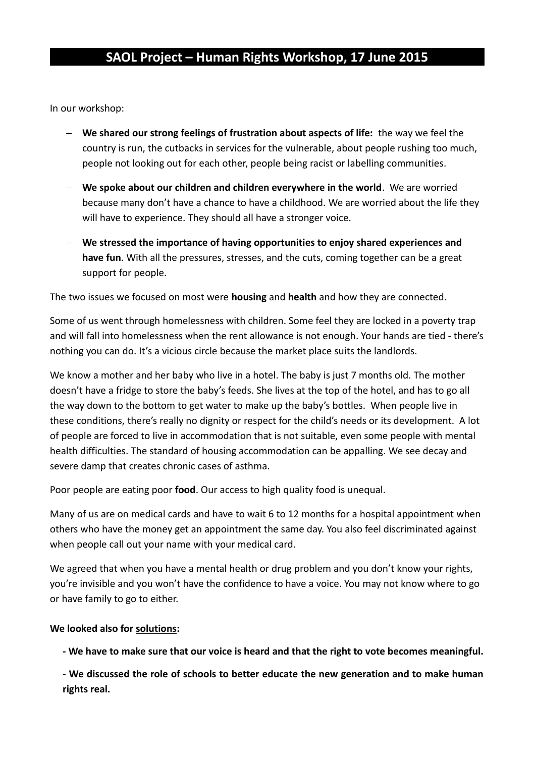### **SAOL Project – Human Rights Workshop, 17 June 2015**

In our workshop:

- **We shared our strong feelings of frustration about aspects of life:** the way we feel the country is run, the cutbacks in services for the vulnerable, about people rushing too much, people not looking out for each other, people being racist or labelling communities.
- **We spoke about our children and children everywhere in the world**. We are worried because many don't have a chance to have a childhood. We are worried about the life they will have to experience. They should all have a stronger voice.
- **We stressed the importance of having opportunities to enjoy shared experiences and have fun**. With all the pressures, stresses, and the cuts, coming together can be a great support for people.

The two issues we focused on most were **housing** and **health** and how they are connected.

Some of us went through homelessness with children. Some feel they are locked in a poverty trap and will fall into homelessness when the rent allowance is not enough. Your hands are tied - there's nothing you can do. It's a vicious circle because the market place suits the landlords.

We know a mother and her baby who live in a hotel. The baby is just 7 months old. The mother doesn't have a fridge to store the baby's feeds. She lives at the top of the hotel, and has to go all the way down to the bottom to get water to make up the baby's bottles. When people live in these conditions, there's really no dignity or respect for the child's needs or its development. A lot of people are forced to live in accommodation that is not suitable, even some people with mental health difficulties. The standard of housing accommodation can be appalling. We see decay and severe damp that creates chronic cases of asthma.

Poor people are eating poor **food**. Our access to high quality food is unequal.

Many of us are on medical cards and have to wait 6 to 12 months for a hospital appointment when others who have the money get an appointment the same day. You also feel discriminated against when people call out your name with your medical card.

We agreed that when you have a mental health or drug problem and you don't know your rights, you're invisible and you won't have the confidence to have a voice. You may not know where to go or have family to go to either.

#### **We looked also for solutions:**

**- We have to make sure that our voice is heard and that the right to vote becomes meaningful.**

**- We discussed the role of schools to better educate the new generation and to make human rights real.**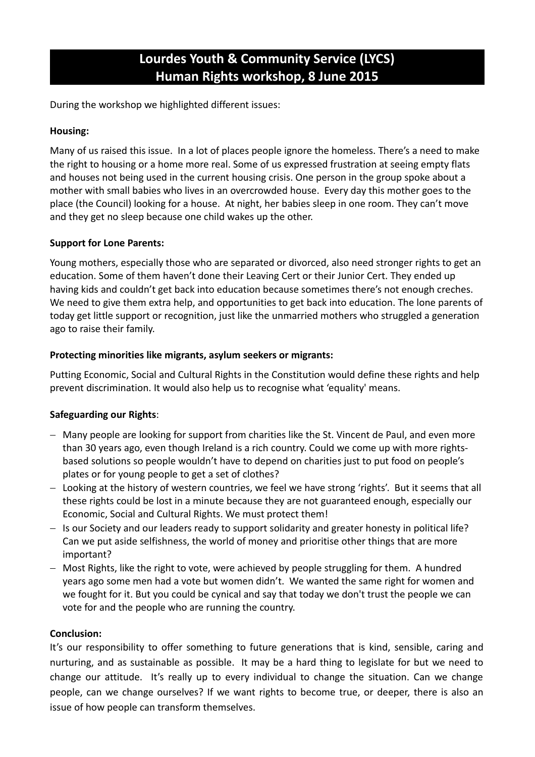### **Lourdes Youth & Community Service (LYCS) Human Rights workshop, 8 June 2015**

During the workshop we highlighted different issues:

### **Housing:**

Many of us raised this issue. In a lot of places people ignore the homeless. There's a need to make the right to housing or a home more real. Some of us expressed frustration at seeing empty flats and houses not being used in the current housing crisis. One person in the group spoke about a mother with small babies who lives in an overcrowded house. Every day this mother goes to the place (the Council) looking for a house. At night, her babies sleep in one room. They can't move and they get no sleep because one child wakes up the other.

### **Support for Lone Parents:**

Young mothers, especially those who are separated or divorced, also need stronger rights to get an education. Some of them haven't done their Leaving Cert or their Junior Cert. They ended up having kids and couldn't get back into education because sometimes there's not enough creches. We need to give them extra help, and opportunities to get back into education. The lone parents of today get little support or recognition, just like the unmarried mothers who struggled a generation ago to raise their family.

### **Protecting minorities like migrants, asylum seekers or migrants:**

Putting Economic, Social and Cultural Rights in the Constitution would define these rights and help prevent discrimination. It would also help us to recognise what 'equality' means.

### **Safeguarding our Rights**:

- Many people are looking for support from charities like the St. Vincent de Paul, and even more than 30 years ago, even though Ireland is a rich country. Could we come up with more rightsbased solutions so people wouldn't have to depend on charities just to put food on people's plates or for young people to get a set of clothes?
- Looking at the history of western countries, we feel we have strong 'rights'. But it seems that all these rights could be lost in a minute because they are not guaranteed enough, especially our Economic, Social and Cultural Rights. We must protect them!
- Is our Society and our leaders ready to support solidarity and greater honesty in political life? Can we put aside selfishness, the world of money and prioritise other things that are more important?
- Most Rights, like the right to vote, were achieved by people struggling for them. A hundred years ago some men had a vote but women didn't. We wanted the same right for women and we fought for it. But you could be cynical and say that today we don't trust the people we can vote for and the people who are running the country.

#### **Conclusion:**

It's our responsibility to offer something to future generations that is kind, sensible, caring and nurturing, and as sustainable as possible. It may be a hard thing to legislate for but we need to change our attitude. It's really up to every individual to change the situation. Can we change people, can we change ourselves? If we want rights to become true, or deeper, there is also an issue of how people can transform themselves.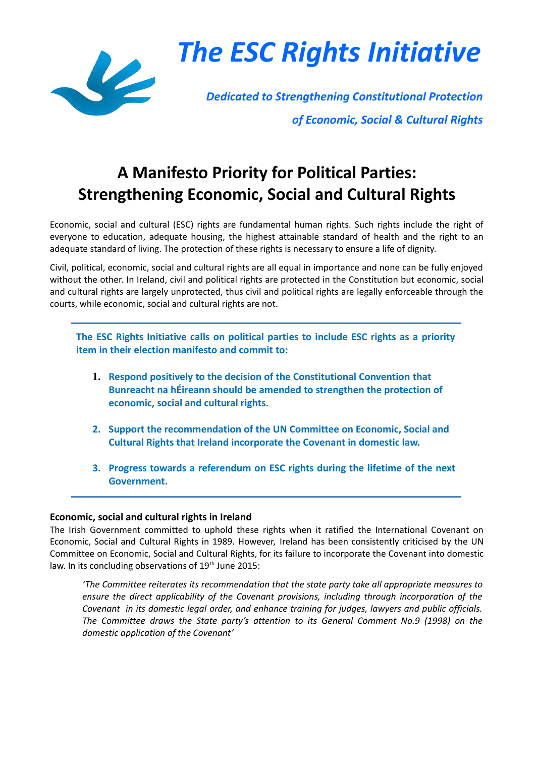

*The ESC Rights Initiative*

*Dedicated to Strengthening Constitutional Protection of Economic, Social & Cultural Rights*

## **A Manifesto Priority for Political Parties: Strengthening Economic, Social and Cultural Rights**

Economic, social and cultural (ESC) rights are fundamental human rights. Such rights include the right of everyone to education, adequate housing, the highest attainable standard of health and the right to an adequate standard of living. The protection of these rights is necessary to ensure a life of dignity.

Civil, political, economic, social and cultural rights are all equal in importance and none can be fully enjoyed without the other. In Ireland, civil and political rights are protected in the Constitution but economic, social and cultural rights are largely unprotected, thus civil and political rights are legally enforceable through the courts, while economic, social and cultural rights are not.

**The ESC Rights Initiative calls on political parties to include ESC rights as a priority item in their election manifesto and commit to:**

- **1. Respond positively to the decision of the Constitutional Convention that Bunreacht na hÉireann should be amended to strengthen the protection of economic, social and cultural rights.**
- **2. Support the recommendation of the UN Committee on Economic, Social and Cultural Rights that Ireland incorporate the Covenant in domestic law.**
- **3. Progress towards a referendum on ESC rights during the lifetime of the next Government.**

#### **Economic, social and cultural rights in Ireland**

The Irish Government committed to uphold these rights when it ratified the International Covenant on Economic, Social and Cultural Rights in 1989. However, Ireland has been consistently criticised by the UN Committee on Economic, Social and Cultural Rights, for its failure to incorporate the Covenant into domestic law. In its concluding observations of  $19<sup>th</sup>$  June 2015:

*'The Committee reiterates its recommendation that the state party take all appropriate measures to ensure the direct applicability of the Covenant provisions, including through incorporation of the Covenant in its domestic legal order, and enhance training for judges, lawyers and public officials. The Committee draws the State party's attention to its General Comment No.9 (1998) on the domestic application of the Covenant'*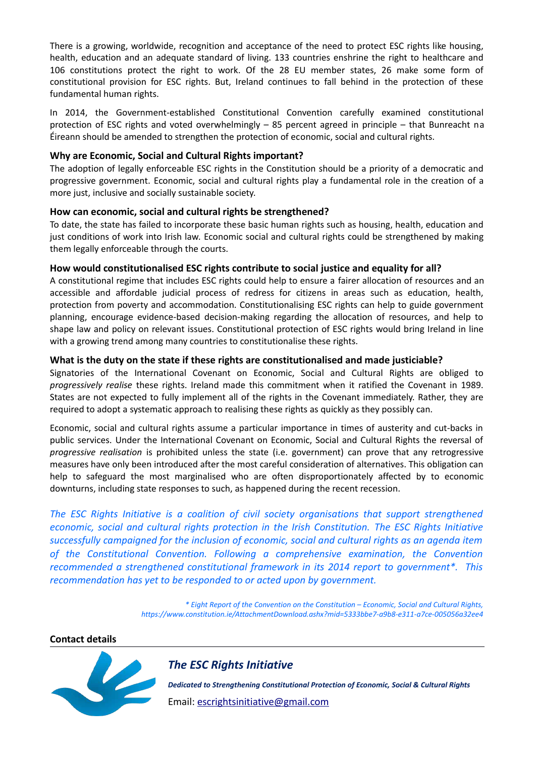There is a growing, worldwide, recognition and acceptance of the need to protect ESC rights like housing, health, education and an adequate standard of living. 133 countries enshrine the right to healthcare and 106 constitutions protect the right to work. Of the 28 EU member states, 26 make some form of constitutional provision for ESC rights. But, Ireland continues to fall behind in the protection of these fundamental human rights.

In 2014, the Government-established Constitutional Convention carefully examined constitutional protection of ESC rights and voted overwhelmingly – 85 percent agreed in principle – that Bunreacht na Éireann should be amended to strengthen the protection of economic, social and cultural rights.

#### **Why are Economic, Social and Cultural Rights important?**

The adoption of legally enforceable ESC rights in the Constitution should be a priority of a democratic and progressive government. Economic, social and cultural rights play a fundamental role in the creation of a more just, inclusive and socially sustainable society.

#### **How can economic, social and cultural rights be strengthened?**

To date, the state has failed to incorporate these basic human rights such as housing, health, education and just conditions of work into Irish law. Economic social and cultural rights could be strengthened by making them legally enforceable through the courts.

### **How would constitutionalised ESC rights contribute to social justice and equality for all?**

A constitutional regime that includes ESC rights could help to ensure a fairer allocation of resources and an accessible and affordable judicial process of redress for citizens in areas such as education, health, protection from poverty and accommodation. Constitutionalising ESC rights can help to guide government planning, encourage evidence-based decision-making regarding the allocation of resources, and help to shape law and policy on relevant issues. Constitutional protection of ESC rights would bring Ireland in line with a growing trend among many countries to constitutionalise these rights.

### **What is the duty on the state if these rights are constitutionalised and made justiciable?**

Signatories of the International Covenant on Economic, Social and Cultural Rights are obliged to *progressively realise* these rights. Ireland made this commitment when it ratified the Covenant in 1989. States are not expected to fully implement all of the rights in the Covenant immediately. Rather, they are required to adopt a systematic approach to realising these rights as quickly as they possibly can.

Economic, social and cultural rights assume a particular importance in times of austerity and cut-backs in public services. Under the International Covenant on Economic, Social and Cultural Rights the reversal of *progressive realisation* is prohibited unless the state (i.e. government) can prove that any retrogressive measures have only been introduced after the most careful consideration of alternatives. This obligation can help to safeguard the most marginalised who are often disproportionately affected by to economic downturns, including state responses to such, as happened during the recent recession.

*The ESC Rights Initiative is a coalition of civil society organisations that support strengthened economic, social and cultural rights protection in the Irish Constitution. The ESC Rights Initiative successfully campaigned for the inclusion of economic, social and cultural rights as an agenda item of the Constitutional Convention. Following a comprehensive examination, the Convention recommended a strengthened constitutional framework in its 2014 report to government\*. This recommendation has yet to be responded to or acted upon by government.* 

> *\* Eight Report of the Convention on the Constitution – Economic, Social and Cultural Rights, https://www.constitution.ie/AttachmentDownload.ashx?mid=5333bbe7-a9b8-e311-a7ce-005056a32ee4*

#### **Contact details**



### *The ESC Rights Initiative*

*Dedicated to Strengthening Constitutional Protection of Economic, Social & Cultural Rights* Email: [escrightsinitiative@gmail.com](mailto:escrightsinitiative@gmail.com)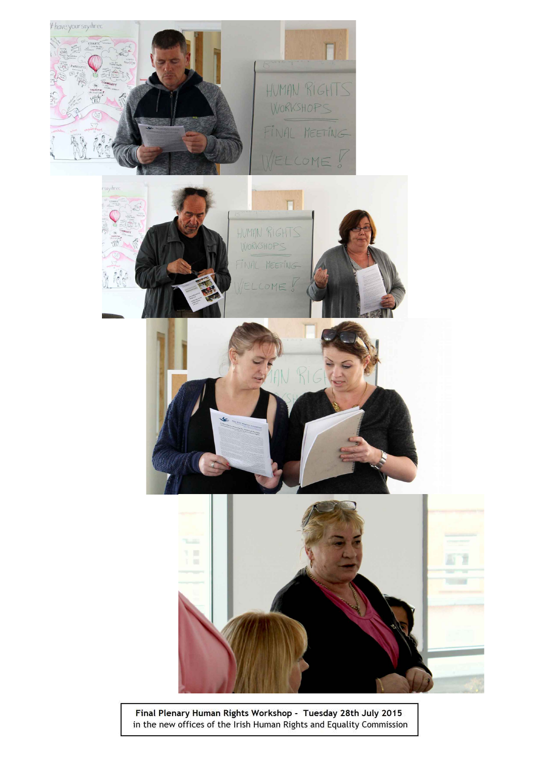

Final Plenary Human Rights Workshop - Tuesday 28th July 2015<br>in the new offices of the Irish Human Rights and Equality Commission